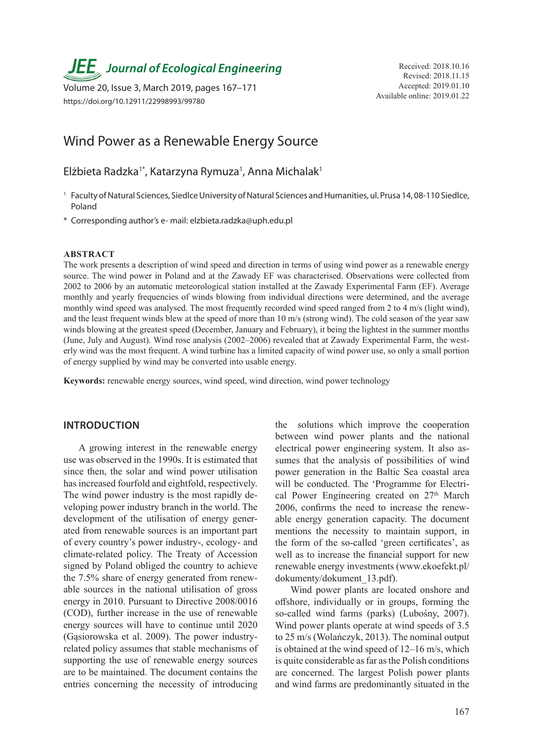# *JEE* Journal of Ecological Engineering Received: 2018.10.16

Available online: 2019.01.22 Volume 20, Issue 3, March 2019, pages 167–171 https://doi.org/10.12911/22998993/99780

# Wind Power as a Renewable Energy Source

Elżbieta Radzka<sup>1\*</sup>, Katarzyna Rymuza<sup>1</sup>, Anna Michalak<sup>1</sup>

- 1 Faculty of Natural Sciences, Siedlce University of Natural Sciences and Humanities, ul. Prusa 14, 08-110 Siedlce, Poland
- \* Corresponding author's e- mail: elzbieta.radzka@uph.edu.pl

#### **ABSTRACT**

The work presents a description of wind speed and direction in terms of using wind power as a renewable energy source. The wind power in Poland and at the Zawady EF was characterised. Observations were collected from 2002 to 2006 by an automatic meteorological station installed at the Zawady Experimental Farm (EF). Average monthly and yearly frequencies of winds blowing from individual directions were determined, and the average monthly wind speed was analysed. The most frequently recorded wind speed ranged from 2 to 4 m/s (light wind), and the least frequent winds blew at the speed of more than 10 m/s (strong wind). The cold season of the year saw winds blowing at the greatest speed (December, January and February), it being the lightest in the summer months (June, July and August). Wind rose analysis (2002–2006) revealed that at Zawady Experimental Farm, the westerly wind was the most frequent. A wind turbine has a limited capacity of wind power use, so only a small portion of energy supplied by wind may be converted into usable energy.

**Keywords:** renewable energy sources, wind speed, wind direction, wind power technology

# **INTRODUCTION**

A growing interest in the renewable energy use was observed in the 1990s. It is estimated that since then, the solar and wind power utilisation has increased fourfold and eightfold, respectively. The wind power industry is the most rapidly developing power industry branch in the world. The development of the utilisation of energy generated from renewable sources is an important part of every country's power industry-, ecology- and climate-related policy. The Treaty of Accession signed by Poland obliged the country to achieve the 7.5% share of energy generated from renewable sources in the national utilisation of gross energy in 2010. Pursuant to Directive 2008/0016 (COD), further increase in the use of renewable energy sources will have to continue until 2020 (Gąsiorowska et al. 2009). The power industryrelated policy assumes that stable mechanisms of supporting the use of renewable energy sources are to be maintained. The document contains the entries concerning the necessity of introducing

the solutions which improve the cooperation between wind power plants and the national electrical power engineering system. It also assumes that the analysis of possibilities of wind power generation in the Baltic Sea coastal area will be conducted. The 'Programme for Electrical Power Engineering created on 27<sup>th</sup> March 2006, confirms the need to increase the renewable energy generation capacity. The document mentions the necessity to maintain support, in the form of the so-called 'green certificates', as well as to increase the financial support for new renewable energy investments (www.ekoefekt.pl/ dokumenty/dokument\_13.pdf).

Wind power plants are located onshore and offshore, individually or in groups, forming the so-called wind farms (parks) (Lubośny, 2007). Wind power plants operate at wind speeds of 3.5 to 25 m/s (Wolańczyk, 2013). The nominal output is obtained at the wind speed of 12–16 m/s, which is quite considerable as far as the Polish conditions are concerned. The largest Polish power plants and wind farms are predominantly situated in the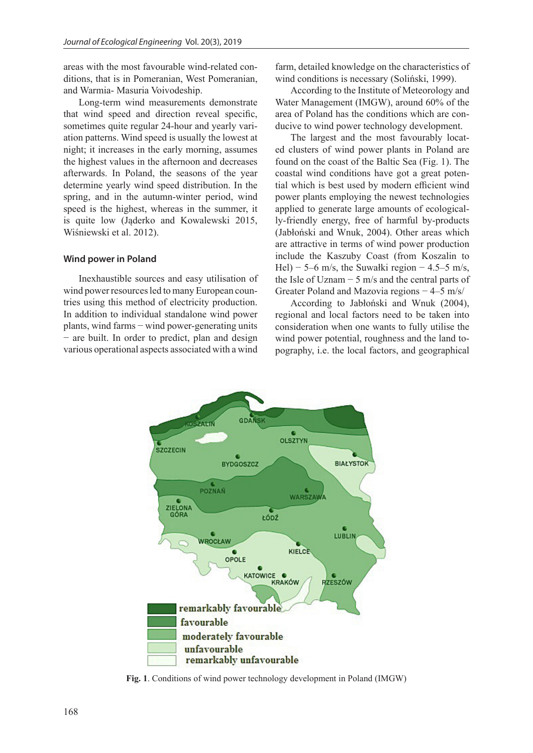areas with the most favourable wind-related conditions, that is in Pomeranian, West Pomeranian, and Warmia- Masuria Voivodeship.

Long-term wind measurements demonstrate that wind speed and direction reveal specific, sometimes quite regular 24-hour and yearly variation patterns. Wind speed is usually the lowest at night; it increases in the early morning, assumes the highest values in the afternoon and decreases afterwards. In Poland, the seasons of the year determine yearly wind speed distribution. In the spring, and in the autumn-winter period, wind speed is the highest, whereas in the summer, it is quite low (Jąderko and Kowalewski 2015, Wiśniewski et al. 2012).

### **Wind power in Poland**

Inexhaustible sources and easy utilisation of wind power resources led to many European countries using this method of electricity production. In addition to individual standalone wind power plants, wind farms − wind power-generating units − are built. In order to predict, plan and design various operational aspects associated with a wind

farm, detailed knowledge on the characteristics of wind conditions is necessary (Soliński, 1999).

According to the Institute of Meteorology and Water Management (IMGW), around 60% of the area of Poland has the conditions which are conducive to wind power technology development.

The largest and the most favourably located clusters of wind power plants in Poland are found on the coast of the Baltic Sea (Fig. 1). The coastal wind conditions have got a great potential which is best used by modern efficient wind power plants employing the newest technologies applied to generate large amounts of ecologically-friendly energy, free of harmful by-products (Jabłoński and Wnuk, 2004). Other areas which are attractive in terms of wind power production include the Kaszuby Coast (from Koszalin to Hel) – 5–6 m/s, the Suwałki region – 4.5–5 m/s, the Isle of Uznam  $-5$  m/s and the central parts of Greater Poland and Mazovia regions − 4–5 m/s/

According to Jabłoński and Wnuk (2004), regional and local factors need to be taken into consideration when one wants to fully utilise the wind power potential, roughness and the land topography, i.e. the local factors, and geographical



**Fig. 1**. Conditions of wind power technology development in Poland (IMGW)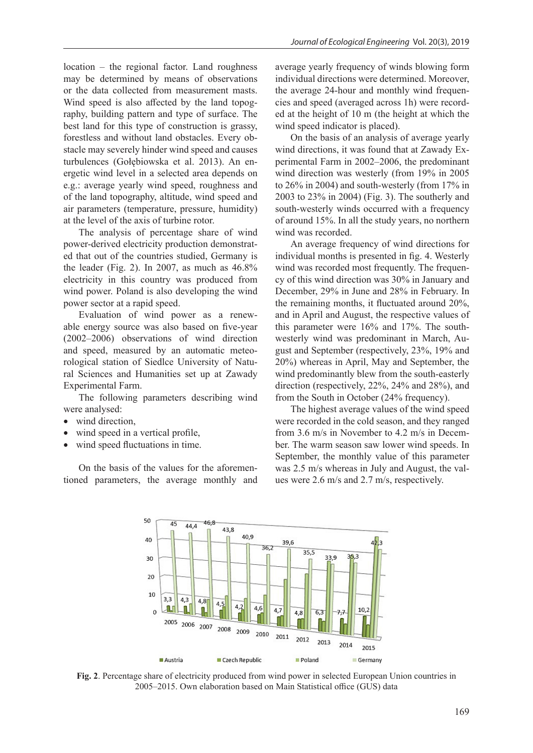location – the regional factor. Land roughness may be determined by means of observations or the data collected from measurement masts. Wind speed is also affected by the land topography, building pattern and type of surface. The best land for this type of construction is grassy, forestless and without land obstacles. Every obstacle may severely hinder wind speed and causes turbulences (Gołębiowska et al. 2013). An energetic wind level in a selected area depends on e.g.: average yearly wind speed, roughness and of the land topography, altitude, wind speed and air parameters (temperature, pressure, humidity) at the level of the axis of turbine rotor.

The analysis of percentage share of wind power-derived electricity production demonstrated that out of the countries studied, Germany is the leader (Fig. 2). In 2007, as much as 46.8% electricity in this country was produced from wind power. Poland is also developing the wind power sector at a rapid speed.

Evaluation of wind power as a renewable energy source was also based on five-year (2002–2006) observations of wind direction and speed, measured by an automatic meteorological station of Siedlce University of Natural Sciences and Humanities set up at Zawady Experimental Farm.

The following parameters describing wind were analysed:

- wind direction,
- wind speed in a vertical profile,
- wind speed fluctuations in time.

On the basis of the values for the aforementioned parameters, the average monthly and average yearly frequency of winds blowing form individual directions were determined. Moreover, the average 24-hour and monthly wind frequencies and speed (averaged across 1h) were recorded at the height of 10 m (the height at which the wind speed indicator is placed).

On the basis of an analysis of average yearly wind directions, it was found that at Zawady Experimental Farm in 2002–2006, the predominant wind direction was westerly (from 19% in 2005 to 26% in 2004) and south-westerly (from 17% in 2003 to 23% in 2004) (Fig. 3). The southerly and south-westerly winds occurred with a frequency of around 15%. In all the study years, no northern wind was recorded.

An average frequency of wind directions for individual months is presented in fig. 4. Westerly wind was recorded most frequently. The frequency of this wind direction was 30% in January and December, 29% in June and 28% in February. In the remaining months, it fluctuated around 20%, and in April and August, the respective values of this parameter were 16% and 17%. The southwesterly wind was predominant in March, August and September (respectively, 23%, 19% and 20%) whereas in April, May and September, the wind predominantly blew from the south-easterly direction (respectively, 22%, 24% and 28%), and from the South in October (24% frequency).

The highest average values of the wind speed were recorded in the cold season, and they ranged from 3.6 m/s in November to 4.2 m/s in December. The warm season saw lower wind speeds. In September, the monthly value of this parameter was 2.5 m/s whereas in July and August, the values were 2.6 m/s and 2.7 m/s, respectively.



**Fig. 2**. Percentage share of electricity produced from wind power in selected European Union countries in 2005–2015. Own elaboration based on Main Statistical office (GUS) data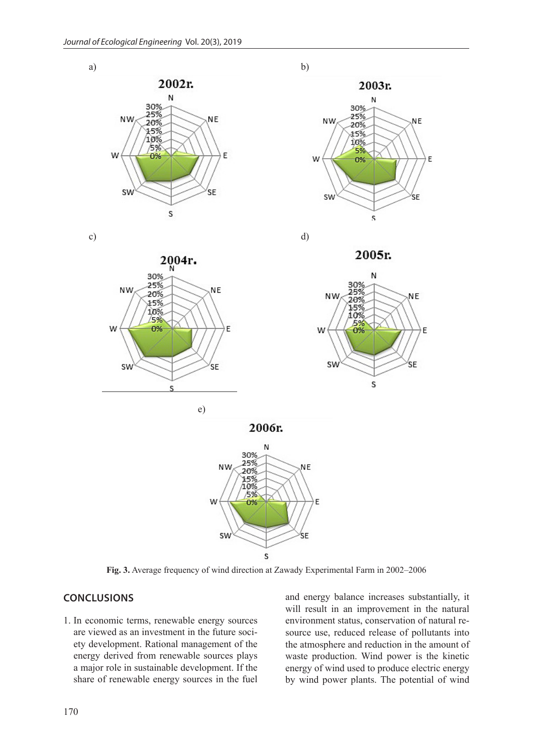









2006r.



**Fig. 3.** Average frequency of wind direction at Zawady Experimental Farm in 2002–2006

## **CONCLUSIONS**

1. In economic terms, renewable energy sources are viewed as an investment in the future society development. Rational management of the energy derived from renewable sources plays a major role in sustainable development. If the share of renewable energy sources in the fuel and energy balance increases substantially, it will result in an improvement in the natural environment status, conservation of natural resource use, reduced release of pollutants into the atmosphere and reduction in the amount of waste production. Wind power is the kinetic energy of wind used to produce electric energy by wind power plants. The potential of wind